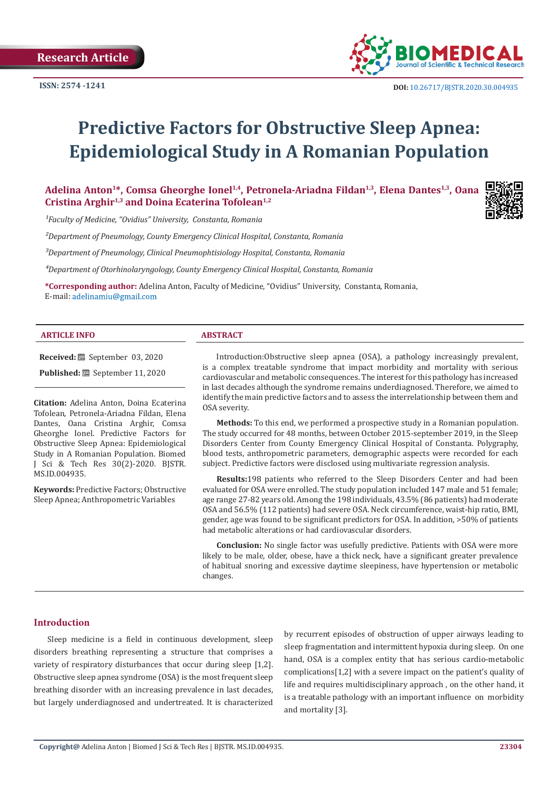

# **Predictive Factors for Obstructive Sleep Apnea: Epidemiological Study in A Romanian Population**

Adelina Anton<sup>1\*</sup>, Comsa Gheorghe Ionel<sup>1,4</sup>, Petronela-Ariadna Fildan<sup>1,3</sup>, Elena Dantes<sup>1,3</sup>, Oana **Cristina Arghir1,3 and Doina Ecaterina Tofolean1,2**

*¹Faculty of Medicine, "Ovidius" University, Constanta, Romania*

*²Department of Pneumology, County Emergency Clinical Hospital, Constanta, Romania*

*³Department of Pneumology, Clinical Pneumophtisiology Hospital, Constanta, Romania*

*⁴Department of Otorhinolaryngology, County Emergency Clinical Hospital, Constanta, Romania*

**\*Corresponding author:** Adelina Anton, Faculty of Medicine, "Ovidius" University, Constanta, Romania, E-mail: adelinamiu@gmail.com

#### **ARTICLE INFO ABSTRACT**

**Received:** September 03, 2020

**Published:** <sup>■</sup> September 11, 2020

**Citation:** Adelina Anton, Doina Ecaterina Tofolean, Petronela-Ariadna Fildan, Elena Dantes, Oana Cristina Arghir, Comsa Gheorghe Ionel. Predictive Factors for Obstructive Sleep Apnea: Epidemiological Study in A Romanian Population. Biomed J Sci & Tech Res 30(2)-2020. BJSTR. MS.ID.004935.

**Keywords:** Predictive Factors; Obstructive Sleep Apnea; Anthropometric Variables

Introduction:Obstructive sleep apnea (OSA), a pathology increasingly prevalent, is a complex treatable syndrome that impact morbidity and mortality with serious cardiovascular and metabolic consequences. The interest for this pathology has increased in last decades although the syndrome remains underdiagnosed. Therefore, we aimed to identify the main predictive factors and to assess the interrelationship between them and OSA severity.

**Methods:** To this end, we performed a prospective study in a Romanian population. The study occurred for 48 months, between October 2015-september 2019, in the Sleep Disorders Center from County Emergency Clinical Hospital of Constanta. Polygraphy, blood tests, anthropometric parameters, demographic aspects were recorded for each subject. Predictive factors were disclosed using multivariate regression analysis.

**Results:**198 patients who referred to the Sleep Disorders Center and had been evaluated for OSA were enrolled. The study population included 147 male and 51 female; age range 27-82 years old. Among the 198 individuals, 43.5% (86 patients) had moderate OSA and 56.5% (112 patients) had severe OSA. Neck circumference, waist-hip ratio, BMI, gender, age was found to be significant predictors for OSA. In addition, >50% of patients had metabolic alterations or had cardiovascular disorders.

**Conclusion:** No single factor was usefully predictive. Patients with OSA were more likely to be male, older, obese, have a thick neck, have a significant greater prevalence of habitual snoring and excessive daytime sleepiness, have hypertension or metabolic changes.

# **Introduction**

Sleep medicine is a field in continuous development, sleep disorders breathing representing a structure that comprises a variety of respiratory disturbances that occur during sleep [1,2]. Obstructive sleep apnea syndrome (OSA) is the most frequent sleep breathing disorder with an increasing prevalence in last decades, but largely underdiagnosed and undertreated. It is characterized

by recurrent episodes of obstruction of upper airways leading to sleep fragmentation and intermittent hypoxia during sleep. On one hand, OSA is a complex entity that has serious cardio-metabolic complications[1,2] with a severe impact on the patient's quality of life and requires multidisciplinary approach , on the other hand, it is a treatable pathology with an important influence on morbidity and mortality [3].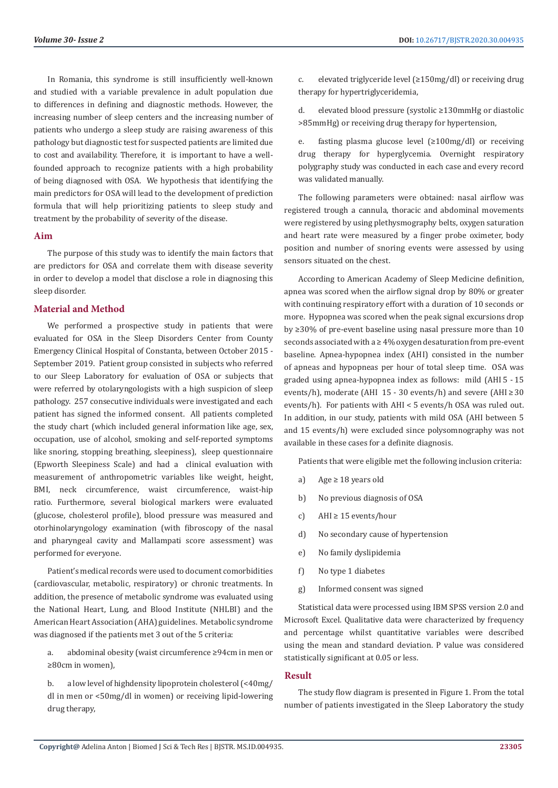In Romania, this syndrome is still insufficiently well-known and studied with a variable prevalence in adult population due to differences in defining and diagnostic methods. However, the increasing number of sleep centers and the increasing number of patients who undergo a sleep study are raising awareness of this pathology but diagnostic test for suspected patients are limited due to cost and availability. Therefore, it is important to have a wellfounded approach to recognize patients with a high probability of being diagnosed with OSA. We hypothesis that identifying the main predictors for OSA will lead to the development of prediction formula that will help prioritizing patients to sleep study and treatment by the probability of severity of the disease.

### **Aim**

The purpose of this study was to identify the main factors that are predictors for OSA and correlate them with disease severity in order to develop a model that disclose a role in diagnosing this sleep disorder.

# **Material and Method**

We performed a prospective study in patients that were evaluated for OSA in the Sleep Disorders Center from County Emergency Clinical Hospital of Constanta, between October 2015 - September 2019. Patient group consisted in subjects who referred to our Sleep Laboratory for evaluation of OSA or subjects that were referred by otolaryngologists with a high suspicion of sleep pathology. 257 consecutive individuals were investigated and each patient has signed the informed consent. All patients completed the study chart (which included general information like age, sex, occupation, use of alcohol, smoking and self-reported symptoms like snoring, stopping breathing, sleepiness), sleep questionnaire (Epworth Sleepiness Scale) and had a clinical evaluation with measurement of anthropometric variables like weight, height, BMI, neck circumference, waist circumference, waist-hip ratio. Furthermore, several biological markers were evaluated (glucose, cholesterol profile), blood pressure was measured and otorhinolaryngology examination (with fibroscopy of the nasal and pharyngeal cavity and Mallampati score assessment) was performed for everyone.

Patient's medical records were used to document comorbidities (cardiovascular, metabolic, respiratory) or chronic treatments. In addition, the presence of metabolic syndrome was evaluated using the National Heart, Lung, and Blood Institute (NHLBI) and the American Heart Association (AHA) guidelines. Metabolic syndrome was diagnosed if the patients met 3 out of the 5 criteria:

a. abdominal obesity (waist circumference ≥94cm in men or ≥80cm in women),

b. a low level of highdensity lipoprotein cholesterol (<40mg/ dl in men or <50mg/dl in women) or receiving lipid-lowering drug therapy,

c. elevated triglyceride level (≥150mg/dl) or receiving drug therapy for hypertriglyceridemia,

d. elevated blood pressure (systolic ≥130mmHg or diastolic >85mmHg) or receiving drug therapy for hypertension,

e. fasting plasma glucose level (≥100mg/dl) or receiving drug therapy for hyperglycemia. Overnight respiratory polygraphy study was conducted in each case and every record was validated manually.

The following parameters were obtained: nasal airflow was registered trough a cannula, thoracic and abdominal movements were registered by using plethysmography belts, oxygen saturation and heart rate were measured by a finger probe oximeter, body position and number of snoring events were assessed by using sensors situated on the chest.

According to American Academy of Sleep Medicine definition, apnea was scored when the airflow signal drop by 80% or greater with continuing respiratory effort with a duration of 10 seconds or more. Hypopnea was scored when the peak signal excursions drop by ≥30% of pre-event baseline using nasal pressure more than 10 seconds associated with a ≥ 4% oxygen desaturation from pre-event baseline. Apnea-hypopnea index (AHI) consisted in the number of apneas and hypopneas per hour of total sleep time. OSA was graded using apnea-hypopnea index as follows: mild (AHI 5 - 15 events/h), moderate (AHI  15 - 30 events/h) and severe (AHI ≥ 30 events/h). For patients with AHI < 5 events/h OSA was ruled out. In addition, in our study, patients with mild OSA (AHI between 5 and 15 events/h) were excluded since polysomnography was not available in these cases for a definite diagnosis.

Patients that were eligible met the following inclusion criteria:

- a) Age ≥ 18 years old
- b) No previous diagnosis of OSA
- c) AHI ≥ 15 events/hour
- d) No secondary cause of hypertension
- e) No family dyslipidemia
- f) No type 1 diabetes
- g) Informed consent was signed

Statistical data were processed using IBM SPSS version 2.0 and Microsoft Excel. Qualitative data were characterized by frequency and percentage whilst quantitative variables were described using the mean and standard deviation. P value was considered statistically significant at 0.05 or less.

### **Result**

The study flow diagram is presented in Figure 1. From the total number of patients investigated in the Sleep Laboratory the study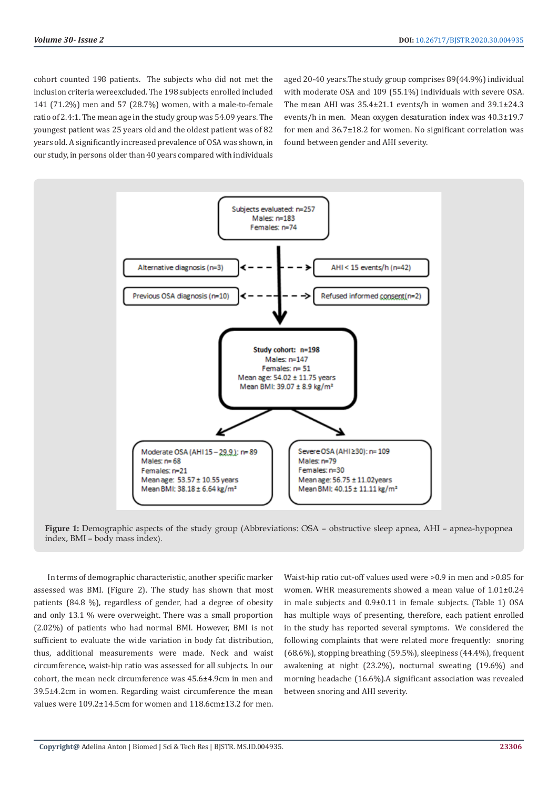cohort counted 198 patients. The subjects who did not met the inclusion criteria wereexcluded. The 198 subjects enrolled included 141 (71.2%) men and 57 (28.7%) women, with a male-to-female ratio of 2.4:1. The mean age in the study group was 54.09 years. The youngest patient was 25 years old and the oldest patient was of 82 years old. A significantly increased prevalence of OSA was shown, in our study, in persons older than 40 years compared with individuals

aged 20-40 years.The study group comprises 89(44.9%) individual with moderate OSA and 109 (55.1%) individuals with severe OSA. The mean AHI was 35.4±21.1 events/h in women and 39.1±24.3 events/h in men. Mean oxygen desaturation index was 40.3±19.7 for men and 36.7±18.2 for women. No significant correlation was found between gender and AHI severity.



**Figure 1:** Demographic aspects of the study group (Abbreviations: OSA – obstructive sleep apnea, AHI – apnea-hypopnea index, BMI – body mass index).

In terms of demographic characteristic, another specific marker assessed was BMI. (Figure 2). The study has shown that most patients (84.8 %), regardless of gender, had a degree of obesity and only 13.1 % were overweight. There was a small proportion (2.02%) of patients who had normal BMI. However, BMI is not sufficient to evaluate the wide variation in body fat distribution, thus, additional measurements were made. Neck and waist circumference, waist-hip ratio was assessed for all subjects. In our cohort, the mean neck circumference was 45.6±4.9cm in men and 39.5±4.2cm in women. Regarding waist circumference the mean values were 109.2±14.5cm for women and 118.6cm±13.2 for men.

Waist-hip ratio cut-off values used were >0.9 in men and >0.85 for women. WHR measurements showed a mean value of 1.01±0.24 in male subjects and 0.9±0.11 in female subjects. (Table 1) OSA has multiple ways of presenting, therefore, each patient enrolled in the study has reported several symptoms. We considered the following complaints that were related more frequently: snoring (68.6%), stopping breathing (59.5%), sleepiness (44.4%), frequent awakening at night (23.2%), nocturnal sweating (19.6%) and morning headache (16.6%).A significant association was revealed between snoring and AHI severity.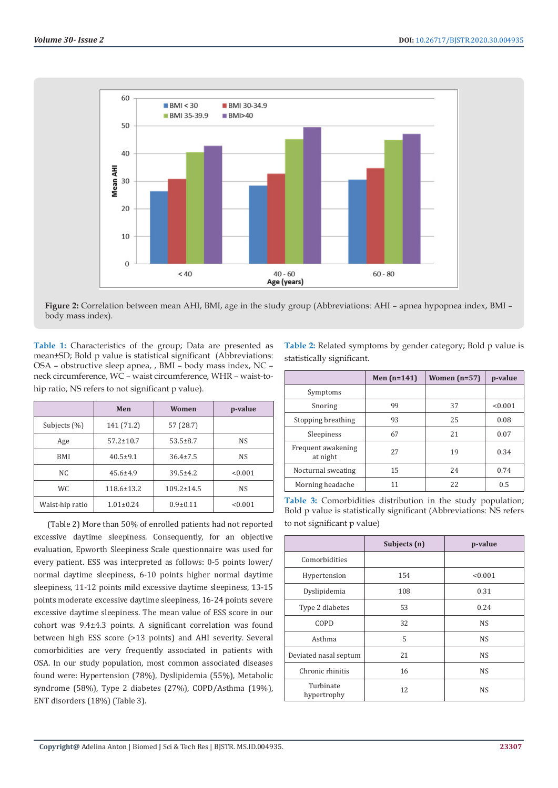

**Figure 2:** Correlation between mean AHI, BMI, age in the study group (Abbreviations: AHI – apnea hypopnea index, BMI – body mass index).

**Table 1:** Characteristics of the group; Data are presented as mean±SD; Bold p value is statistical significant (Abbreviations: OSA – obstructive sleep apnea, , BMI – body mass index, NC – neck circumference, WC – waist circumference, WHR – waist-tohip ratio, NS refers to not significant p value).

|                 | Men              | Women            | p-value   |
|-----------------|------------------|------------------|-----------|
| Subjects (%)    | 141 (71.2)       | 57 (28.7)        |           |
| Age             | $57.2 \pm 10.7$  | $53.5 \pm 8.7$   | <b>NS</b> |
| BMI             | $40.5 \pm 9.1$   | $36.4 \pm 7.5$   | <b>NS</b> |
| NC.             | $45.6 \pm 4.9$   | $39.5 \pm 4.2$   | < 0.001   |
| WC.             | $118.6 \pm 13.2$ | $109.2 \pm 14.5$ | <b>NS</b> |
| Waist-hip ratio | $1.01 \pm 0.24$  | $0.9 \pm 0.11$   | < 0.001   |

(Table 2) More than 50% of enrolled patients had not reported excessive daytime sleepiness. Consequently, for an objective evaluation, Epworth Sleepiness Scale questionnaire was used for every patient. ESS was interpreted as follows: 0-5 points lower/ normal daytime sleepiness, 6-10 points higher normal daytime sleepiness, 11-12 points mild excessive daytime sleepiness, 13-15 points moderate excessive daytime sleepiness, 16-24 points severe excessive daytime sleepiness. The mean value of ESS score in our cohort was 9.4±4.3 points. A significant correlation was found between high ESS score (>13 points) and AHI severity. Several comorbidities are very frequently associated in patients with OSA. In our study population, most common associated diseases found were: Hypertension (78%), Dyslipidemia (55%), Metabolic syndrome (58%), Type 2 diabetes (27%), COPD/Asthma (19%), ENT disorders (18%) (Table 3).

**Table 2:** Related symptoms by gender category; Bold p value is statistically significant.

|                                | Men $(n=141)$ | Women $(n=57)$ | p-value |
|--------------------------------|---------------|----------------|---------|
| Symptoms                       |               |                |         |
| Snoring                        | 99            | 37             | < 0.001 |
| Stopping breathing             | 93            | 25             | 0.08    |
| Sleepiness                     | 67            | 21             | 0.07    |
| Frequent awakening<br>at night | 27            | 19             | 0.34    |
| Nocturnal sweating             | 15            | 2.4            | 0.74    |
| Morning headache               | 11            | 22             | 0.5     |

**Table 3:** Comorbidities distribution in the study population; Bold p value is statistically significant (Abbreviations: NS refers to not significant p value)

|                          | Subjects (n) | p-value   |
|--------------------------|--------------|-----------|
| Comorbidities            |              |           |
| Hypertension             | 154          | < 0.001   |
| Dyslipidemia             | 108          | 0.31      |
| Type 2 diabetes          | 53           | 0.24      |
| COPD                     | 32           | <b>NS</b> |
| Asthma                   | 5            | <b>NS</b> |
| Deviated nasal septum    | 21           | NS        |
| Chronic rhinitis         | 16           | <b>NS</b> |
| Turbinate<br>hypertrophy | 12           | <b>NS</b> |